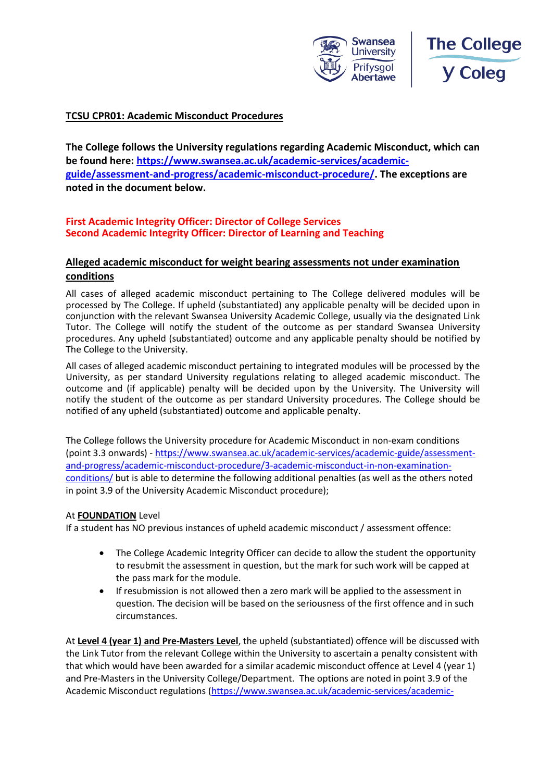



## **TCSU CPR01: Academic Misconduct Procedures**

**The College follows the University regulations regarding Academic Misconduct, which can be found here: [https://www.swansea.ac.uk/academic-services/academic](https://www.swansea.ac.uk/academic-services/academic-guide/assessment-and-progress/academic-misconduct-procedure/)[guide/assessment-and-progress/academic-misconduct-procedure/.](https://www.swansea.ac.uk/academic-services/academic-guide/assessment-and-progress/academic-misconduct-procedure/) The exceptions are noted in the document below.** 

## **First Academic Integrity Officer: Director of College Services Second Academic Integrity Officer: Director of Learning and Teaching**

## **Alleged academic misconduct for weight bearing assessments not under examination conditions**

All cases of alleged academic misconduct pertaining to The College delivered modules will be processed by The College. If upheld (substantiated) any applicable penalty will be decided upon in conjunction with the relevant Swansea University Academic College, usually via the designated Link Tutor. The College will notify the student of the outcome as per standard Swansea University procedures. Any upheld (substantiated) outcome and any applicable penalty should be notified by The College to the University.

All cases of alleged academic misconduct pertaining to integrated modules will be processed by the University, as per standard University regulations relating to alleged academic misconduct. The outcome and (if applicable) penalty will be decided upon by the University. The University will notify the student of the outcome as per standard University procedures. The College should be notified of any upheld (substantiated) outcome and applicable penalty.

The College follows the University procedure for Academic Misconduct in non-exam conditions (point 3.3 onwards) - [https://www.swansea.ac.uk/academic-services/academic-guide/assessment](https://www.swansea.ac.uk/academic-services/academic-guide/assessment-and-progress/academic-misconduct-procedure/3-academic-misconduct-in-non-examination-conditions/)[and-progress/academic-misconduct-procedure/3-academic-misconduct-in-non-examination](https://www.swansea.ac.uk/academic-services/academic-guide/assessment-and-progress/academic-misconduct-procedure/3-academic-misconduct-in-non-examination-conditions/)[conditions/](https://www.swansea.ac.uk/academic-services/academic-guide/assessment-and-progress/academic-misconduct-procedure/3-academic-misconduct-in-non-examination-conditions/) but is able to determine the following additional penalties (as well as the others noted in point 3.9 of the University Academic Misconduct procedure);

#### At **FOUNDATION** Level

If a student has NO previous instances of upheld academic misconduct / assessment offence:

- The College Academic Integrity Officer can decide to allow the student the opportunity to resubmit the assessment in question, but the mark for such work will be capped at the pass mark for the module.
- If resubmission is not allowed then a zero mark will be applied to the assessment in question. The decision will be based on the seriousness of the first offence and in such circumstances.

At **Level 4 (year 1) and Pre-Masters Level**, the upheld (substantiated) offence will be discussed with the Link Tutor from the relevant College within the University to ascertain a penalty consistent with that which would have been awarded for a similar academic misconduct offence at Level 4 (year 1) and Pre-Masters in the University College/Department. The options are noted in point 3.9 of the Academic Misconduct regulations [\(https://www.swansea.ac.uk/academic-services/academic-](https://www.swansea.ac.uk/academic-services/academic-guide/assessment-and-progress/academic-misconduct-procedure/3-academic-misconduct-in-non-examination-conditions/)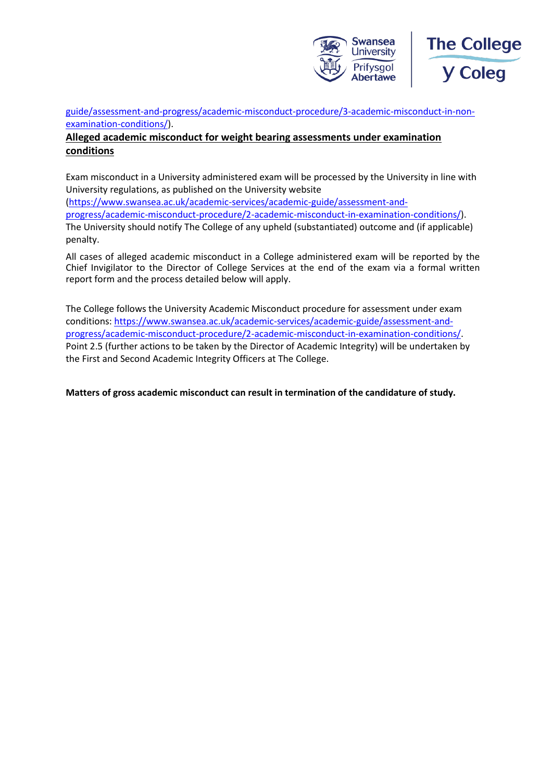



[guide/assessment-and-progress/academic-misconduct-procedure/3-academic-misconduct-in-non](https://www.swansea.ac.uk/academic-services/academic-guide/assessment-and-progress/academic-misconduct-procedure/3-academic-misconduct-in-non-examination-conditions/)[examination-conditions/\)](https://www.swansea.ac.uk/academic-services/academic-guide/assessment-and-progress/academic-misconduct-procedure/3-academic-misconduct-in-non-examination-conditions/).

## **Alleged academic misconduct for weight bearing assessments under examination conditions**

Exam misconduct in a University administered exam will be processed by the University in line with University regulations, as published on the University website [\(https://www.swansea.ac.uk/academic-services/academic-guide/assessment-and](https://www.swansea.ac.uk/academic-services/academic-guide/assessment-and-progress/academic-misconduct-procedure/2-academic-misconduct-in-examination-conditions/)[progress/academic-misconduct-procedure/2-academic-misconduct-in-examination-conditions/\)](https://www.swansea.ac.uk/academic-services/academic-guide/assessment-and-progress/academic-misconduct-procedure/2-academic-misconduct-in-examination-conditions/). The University should notify The College of any upheld (substantiated) outcome and (if applicable) penalty.

All cases of alleged academic misconduct in a College administered exam will be reported by the Chief Invigilator to the Director of College Services at the end of the exam via a formal written report form and the process detailed below will apply.

The College follows the University Academic Misconduct procedure for assessment under exam conditions: [https://www.swansea.ac.uk/academic-services/academic-guide/assessment-and](https://www.swansea.ac.uk/academic-services/academic-guide/assessment-and-progress/academic-misconduct-procedure/2-academic-misconduct-in-examination-conditions/)[progress/academic-misconduct-procedure/2-academic-misconduct-in-examination-conditions/.](https://www.swansea.ac.uk/academic-services/academic-guide/assessment-and-progress/academic-misconduct-procedure/2-academic-misconduct-in-examination-conditions/) Point 2.5 (further actions to be taken by the Director of Academic Integrity) will be undertaken by the First and Second Academic Integrity Officers at The College.

**Matters of gross academic misconduct can result in termination of the candidature of study.**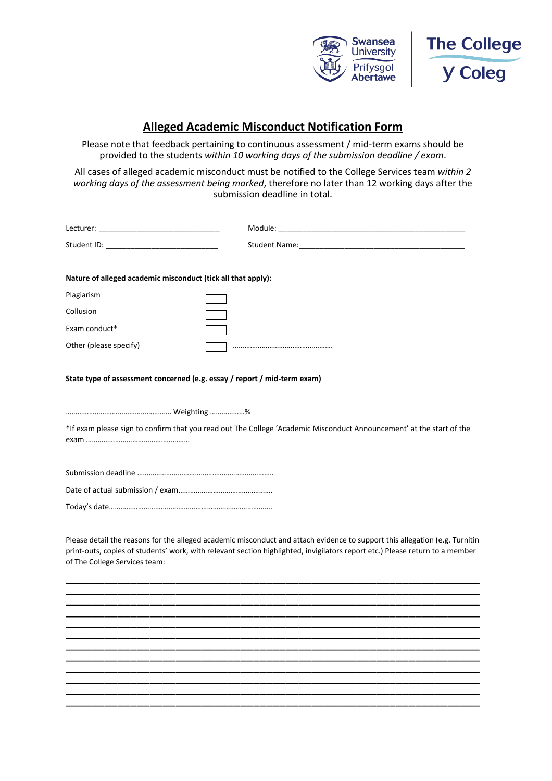



# **Alleged Academic Misconduct Notification Form**

Please note that feedback pertaining to continuous assessment / mid-term exams should be provided to the students *within 10 working days of the submission deadline / exam*.

All cases of alleged academic misconduct must be notified to the College Services team *within 2 working days of the assessment being marked*, therefore no later than 12 working days after the submission deadline in total.

| Nature of alleged academic misconduct (tick all that apply):             |                                                                                                                                                                                                                                                             |
|--------------------------------------------------------------------------|-------------------------------------------------------------------------------------------------------------------------------------------------------------------------------------------------------------------------------------------------------------|
| Plagiarism                                                               |                                                                                                                                                                                                                                                             |
| Collusion                                                                |                                                                                                                                                                                                                                                             |
| Exam conduct*                                                            |                                                                                                                                                                                                                                                             |
| Other (please specify)                                                   |                                                                                                                                                                                                                                                             |
| State type of assessment concerned (e.g. essay / report / mid-term exam) |                                                                                                                                                                                                                                                             |
|                                                                          |                                                                                                                                                                                                                                                             |
|                                                                          | *If exam please sign to confirm that you read out The College 'Academic Misconduct Announcement' at the start of the                                                                                                                                        |
|                                                                          |                                                                                                                                                                                                                                                             |
|                                                                          |                                                                                                                                                                                                                                                             |
|                                                                          |                                                                                                                                                                                                                                                             |
| of The College Services team:                                            | Please detail the reasons for the alleged academic misconduct and attach evidence to support this allegation (e.g. Turnitin<br>print-outs, copies of students' work, with relevant section highlighted, invigilators report etc.) Please return to a member |
|                                                                          |                                                                                                                                                                                                                                                             |
|                                                                          |                                                                                                                                                                                                                                                             |
|                                                                          |                                                                                                                                                                                                                                                             |
|                                                                          |                                                                                                                                                                                                                                                             |
|                                                                          |                                                                                                                                                                                                                                                             |

\_\_\_\_\_\_\_\_\_\_\_\_\_\_\_\_\_\_\_\_\_\_\_\_\_\_\_\_\_\_\_\_\_\_\_\_\_\_\_\_\_\_\_\_\_\_\_\_\_\_\_\_\_\_\_\_\_\_\_\_\_\_\_\_ \_\_\_\_\_\_\_\_\_\_\_\_\_\_\_\_\_\_\_\_\_\_\_\_\_\_\_\_\_\_\_\_\_\_\_\_\_\_\_\_\_\_\_\_\_\_\_\_\_\_\_\_\_\_\_\_\_\_\_\_\_\_\_\_ \_\_\_\_\_\_\_\_\_\_\_\_\_\_\_\_\_\_\_\_\_\_\_\_\_\_\_\_\_\_\_\_\_\_\_\_\_\_\_\_\_\_\_\_\_\_\_\_\_\_\_\_\_\_\_\_\_\_\_\_\_\_\_\_ \_\_\_\_\_\_\_\_\_\_\_\_\_\_\_\_\_\_\_\_\_\_\_\_\_\_\_\_\_\_\_\_\_\_\_\_\_\_\_\_\_\_\_\_\_\_\_\_\_\_\_\_\_\_\_\_\_\_\_\_\_\_\_\_